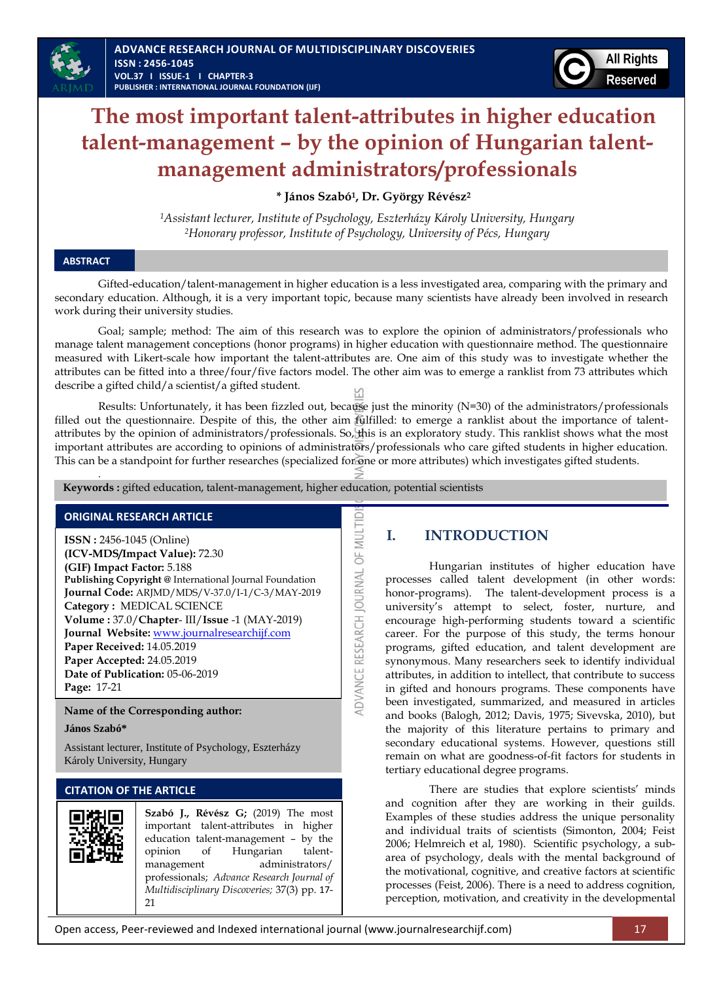

# **The most important talent-attributes in higher education talent-management – by the opinion of Hungarian talentmanagement administrators/professionals**

**\* János Szabó<sup>1</sup> , Dr. György Révész<sup>2</sup>**

*<sup>1</sup>Assistant lecturer, Institute of Psychology, Eszterházy Károly University, Hungary <sup>2</sup>Honorary professor, Institute of Psychology, University of Pécs, Hungary*

## **ABSTRACT**

Gifted-education/talent-management in higher education is a less investigated area, comparing with the primary and secondary education. Although, it is a very important topic, because many scientists have already been involved in research work during their university studies.

Goal; sample; method: The aim of this research was to explore the opinion of administrators/professionals who manage talent management conceptions (honor programs) in higher education with questionnaire method. The questionnaire measured with Likert-scale how important the talent-attributes are. One aim of this study was to investigate whether the attributes can be fitted into a three/four/five factors model. The other aim was to emerge a ranklist from 73 attributes which describe a gifted child/a scientist/a gifted student.

Results: Unfortunately, it has been fizzled out, because just the minority (N=30) of the administrators/professionals filled out the questionnaire. Despite of this, the other aim fulfilled: to emerge a ranklist about the importance of talentattributes by the opinion of administrators/professionals. So, this is an exploratory study. This ranklist shows what the most important attributes are according to opinions of administrators/professionals who care gifted students in higher education. This can be a standpoint for further researches (specialized for one or more attributes) which investigates gifted students.

ADVANCE RESEARCH JOURNAL OF MULTID

 **Keywords :** gifted education, talent-management, higher education, potential scientists

## **ORIGINAL RESEARCH ARTICLE**

*.* 

**ISSN :** 2456-1045 (Online) **(ICV-MDS/Impact Value):** 72.30 **(GIF) Impact Factor:** 5.188 **Publishing Copyright @** International Journal Foundation **Journal Code:** ARJMD/MDS/V-37.0/I-1/C-3/MAY-2019 **Category :** MEDICAL SCIENCE **Volume :** 37.0/**Chapter**- III/**Issue** -1 (MAY-2019) **Journal Website:** [www.journalresearchijf.com](http://www.journalresearchijf.com/) **Paper Received:** 14.05.2019 **Paper Accepted:** 24.05.2019 **Date of Publication:** 05-06-2019 **Page:** 17-21

**Name of the Corresponding author:**

**János Szabó\***

Assistant lecturer, Institute of Psychology, Eszterházy Károly University, Hungary

## **CITATION OF THE ARTICLE**



**Szabó J., Révész G;** (2019) The most important talent-attributes in higher education talent-management – by the opinion of Hungarian talentmanagement administrators/ professionals; *Advance Research Journal of Multidisciplinary Discoveries;* 37(3) pp. 17- 21

# **I. INTRODUCTION**

Hungarian institutes of higher education have processes called talent development (in other words: honor-programs). The talent-development process is a university"s attempt to select, foster, nurture, and encourage high-performing students toward a scientific career. For the purpose of this study, the terms honour programs, gifted education, and talent development are synonymous. Many researchers seek to identify individual attributes, in addition to intellect, that contribute to success in gifted and honours programs. These components have been investigated, summarized, and measured in articles and books (Balogh, 2012; Davis, 1975; Sivevska, 2010), but the majority of this literature pertains to primary and secondary educational systems. However, questions still remain on what are goodness-of-fit factors for students in tertiary educational degree programs.

There are studies that explore scientists' minds and cognition after they are working in their guilds. Examples of these studies address the unique personality and individual traits of scientists (Simonton, 2004; Feist 2006; Helmreich et al, 1980). Scientific psychology, a subarea of psychology, deals with the mental background of the motivational, cognitive, and creative factors at scientific processes (Feist, 2006). There is a need to address cognition, perception, motivation, and creativity in the developmental

Open access, Peer-reviewed and Indexed international journal (www.journalresearchijf.com) 17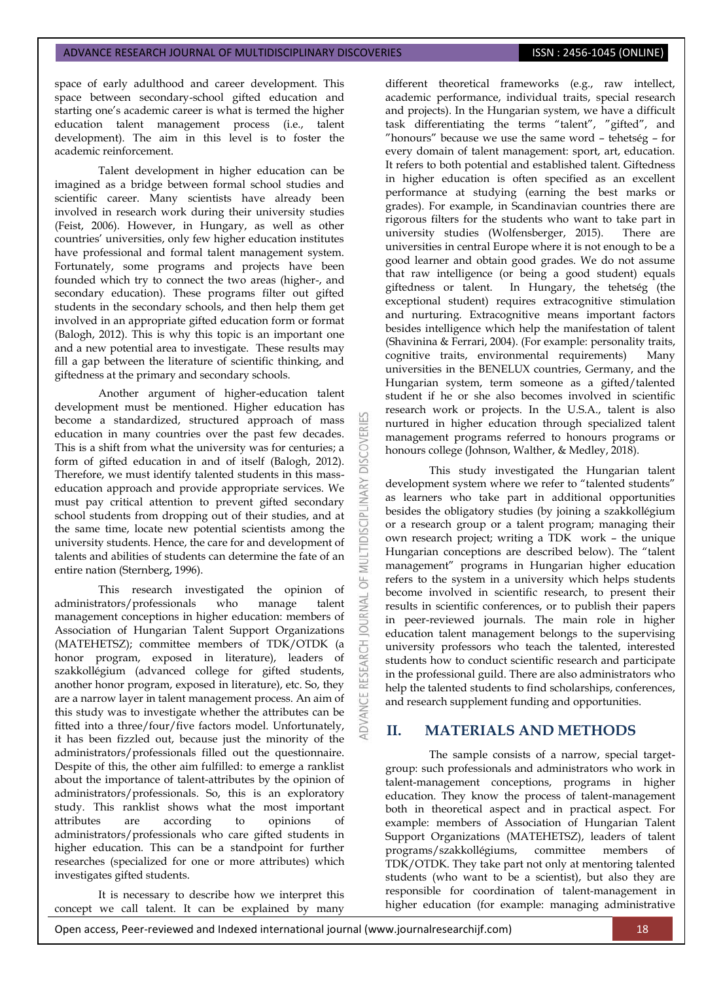space of early adulthood and career development. This space between secondary-school gifted education and starting one's academic career is what is termed the higher education talent management process (i.e., talent development). The aim in this level is to foster the academic reinforcement.

Talent development in higher education can be imagined as a bridge between formal school studies and scientific career. Many scientists have already been involved in research work during their university studies (Feist, 2006). However, in Hungary, as well as other countries" universities, only few higher education institutes have professional and formal talent management system. Fortunately, some programs and projects have been founded which try to connect the two areas (higher-, and secondary education). These programs filter out gifted students in the secondary schools, and then help them get involved in an appropriate gifted education form or format (Balogh, 2012). This is why this topic is an important one and a new potential area to investigate. These results may fill a gap between the literature of scientific thinking, and giftedness at the primary and secondary schools.

Another argument of higher-education talent development must be mentioned. Higher education has become a standardized, structured approach of mass education in many countries over the past few decades. This is a shift from what the university was for centuries; a form of gifted education in and of itself (Balogh, 2012). Therefore, we must identify talented students in this masseducation approach and provide appropriate services. We must pay critical attention to prevent gifted secondary school students from dropping out of their studies, and at the same time, locate new potential scientists among the university students. Hence, the care for and development of talents and abilities of students can determine the fate of an entire nation (Sternberg, 1996).

This research investigated the opinion of administrators/professionals who manage talent management conceptions in higher education: members of Association of Hungarian Talent Support Organizations (MATEHETSZ); committee members of TDK/OTDK (a honor program, exposed in literature), leaders of szakkollégium (advanced college for gifted students, another honor program, exposed in literature), etc. So, they are a narrow layer in talent management process. An aim of this study was to investigate whether the attributes can be fitted into a three/four/five factors model. Unfortunately, it has been fizzled out, because just the minority of the administrators/professionals filled out the questionnaire. Despite of this, the other aim fulfilled: to emerge a ranklist about the importance of talent-attributes by the opinion of administrators/professionals. So, this is an exploratory study. This ranklist shows what the most important attributes are according to opinions of administrators/professionals who care gifted students in higher education. This can be a standpoint for further researches (specialized for one or more attributes) which investigates gifted students.

It is necessary to describe how we interpret this concept we call talent. It can be explained by many

different theoretical frameworks (e.g., raw intellect, academic performance, individual traits, special research and projects). In the Hungarian system, we have a difficult and projects). In the Frangman system, the task differentiating the terms "talent", "gifted", and "honours" because we use the same word – tehetség – for every domain of talent management: sport, art, education. It refers to both potential and established talent. Giftedness in higher education is often specified as an excellent performance at studying (earning the best marks or grades). For example, in Scandinavian countries there are rigorous filters for the students who want to take part in university studies (Wolfensberger, 2015). There are universities in central Europe where it is not enough to be a good learner and obtain good grades. We do not assume that raw intelligence (or being a good student) equals giftedness or talent. In Hungary, the tehetség (the exceptional student) requires extracognitive stimulation and nurturing. Extracognitive means important factors besides intelligence which help the manifestation of talent (Shavinina & Ferrari, 2004). (For example: personality traits, cognitive traits, environmental requirements) Many universities in the BENELUX countries, Germany, and the Hungarian system, term someone as a gifted/talented student if he or she also becomes involved in scientific research work or projects. In the U.S.A., talent is also nurtured in higher education through specialized talent management programs referred to honours programs or honours college (Johnson, Walther, & Medley, 2018).

This study investigated the Hungarian talent development system where we refer to "talented students" as learners who take part in additional opportunities besides the obligatory studies (by joining a szakkollégium or a research group or a talent program; managing their own research project; writing a TDK work – the unique Hungarian conceptions are described below). The "talent management" programs in Hungarian higher education refers to the system in a university which helps students become involved in scientific research, to present their results in scientific conferences, or to publish their papers in peer-reviewed journals. The main role in higher education talent management belongs to the supervising university professors who teach the talented, interested students how to conduct scientific research and participate in the professional guild. There are also administrators who help the talented students to find scholarships, conferences, and research supplement funding and opportunities.

## **II. MATERIALS AND METHODS**

The sample consists of a narrow, special targetgroup: such professionals and administrators who work in talent-management conceptions, programs in higher education. They know the process of talent-management both in theoretical aspect and in practical aspect. For example: members of Association of Hungarian Talent Support Organizations (MATEHETSZ), leaders of talent programs/szakkollégiums, committee members TDK/OTDK. They take part not only at mentoring talented students (who want to be a scientist), but also they are responsible for coordination of talent-management in higher education (for example: managing administrative

ð RNAL  $\vec{o}$ 

**IDVANCE**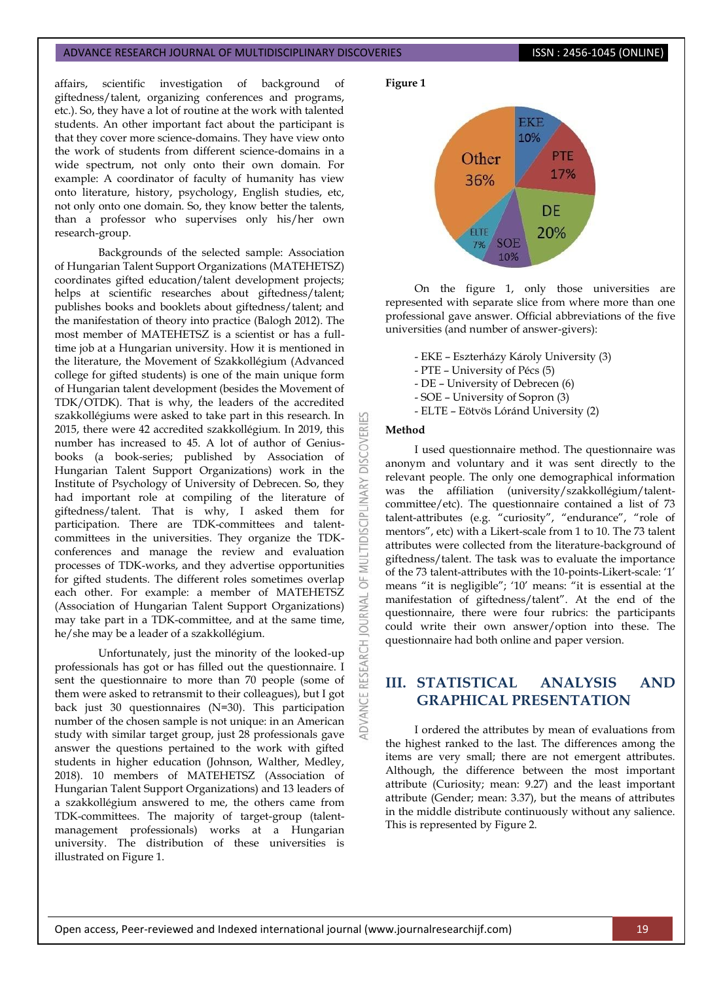#### ADVANCE RESEARCH JOURNAL OF MULTIDISCIPLINARY DISCOVERIES **ISSN : 2456-1045 (ONLINE)**

affairs, scientific investigation of background of giftedness/talent, organizing conferences and programs, etc.). So, they have a lot of routine at the work with talented students. An other important fact about the participant is that they cover more science-domains. They have view onto the work of students from different science-domains in a wide spectrum, not only onto their own domain. For example: A coordinator of faculty of humanity has view onto literature, history, psychology, English studies, etc, not only onto one domain. So, they know better the talents, than a professor who supervises only his/her own research-group.

Backgrounds of the selected sample: Association of Hungarian Talent Support Organizations (MATEHETSZ) coordinates gifted education/talent development projects; helps at scientific researches about giftedness/talent; publishes books and booklets about giftedness/talent; and the manifestation of theory into practice (Balogh 2012). The most member of MATEHETSZ is a scientist or has a fulltime job at a Hungarian university. How it is mentioned in the literature, the Movement of Szakkollégium (Advanced college for gifted students) is one of the main unique form of Hungarian talent development (besides the Movement of TDK/OTDK). That is why, the leaders of the accredited szakkollégiums were asked to take part in this research. In 2015, there were 42 accredited szakkollégium. In 2019, this number has increased to 45. A lot of author of Geniusbooks (a book-series; published by Association of Hungarian Talent Support Organizations) work in the Institute of Psychology of University of Debrecen. So, they had important role at compiling of the literature of giftedness/talent. That is why, I asked them for participation. There are TDK-committees and talentcommittees in the universities. They organize the TDKconferences and manage the review and evaluation processes of TDK-works, and they advertise opportunities for gifted students. The different roles sometimes overlap each other. For example: a member of MATEHETSZ (Association of Hungarian Talent Support Organizations) may take part in a TDK-committee, and at the same time, he/she may be a leader of a szakkollégium.

Unfortunately, just the minority of the looked-up professionals has got or has filled out the questionnaire. I sent the questionnaire to more than 70 people (some of them were asked to retransmit to their colleagues), but I got back just 30 questionnaires (N=30). This participation number of the chosen sample is not unique: in an American study with similar target group, just 28 professionals gave answer the questions pertained to the work with gifted students in higher education (Johnson, Walther, Medley, 2018). 10 members of MATEHETSZ (Association of Hungarian Talent Support Organizations) and 13 leaders of a szakkollégium answered to me, the others came from TDK-committees. The majority of target-group (talentmanagement professionals) works at a Hungarian university. The distribution of these universities is illustrated on Figure 1.





On the figure 1, only those universities are represented with separate slice from where more than one professional gave answer. Official abbreviations of the five universities (and number of answer-givers):

- EKE Eszterházy Károly University (3)
- PTE University of Pécs (5)
- DE University of Debrecen (6)
- SOE University of Sopron (3)
- ELTE Eötvös Lóránd University (2)

#### **Method**

**DISCOVERI** 

**IDISCIPLINARY** 

5F **JRNAL** 5

I used questionnaire method. The questionnaire was anonym and voluntary and it was sent directly to the relevant people. The only one demographical information was the affiliation (university/szakkollégium/talentcommittee/etc). The questionnaire contained a list of 73 talent-attributes (e.g. "curiosity", "endurance", "role of mentors", etc) with a Likert-scale from 1 to 10. The 73 talent attributes were collected from the literature-background of giftedness/talent. The task was to evaluate the importance of the 73 talent-attributes with the 10-points-Likert-scale: "1" means "it is negligible"; "10" means: "it is essential at the manifestation of giftedness/talent". At the end of the questionnaire, there were four rubrics: the participants could write their own answer/option into these. The questionnaire had both online and paper version.

# **III. STATISTICAL ANALYSIS AND GRAPHICAL PRESENTATION**

I ordered the attributes by mean of evaluations from the highest ranked to the last. The differences among the items are very small; there are not emergent attributes. Although, the difference between the most important attribute (Curiosity; mean: 9.27) and the least important attribute (Gender; mean: 3.37), but the means of attributes in the middle distribute continuously without any salience. This is represented by Figure 2.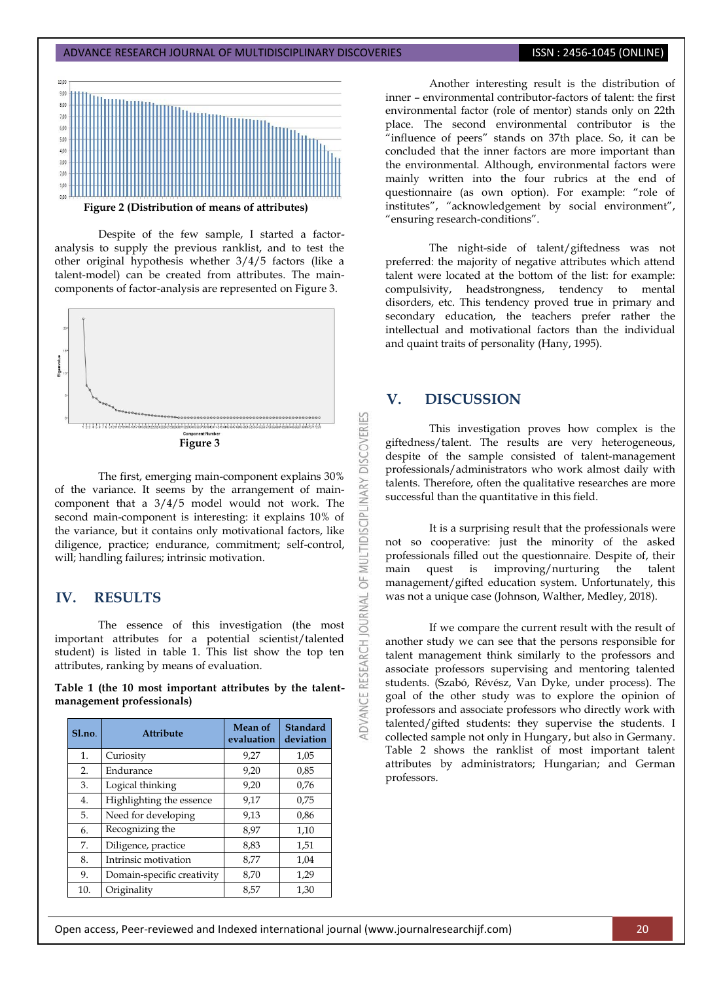

Despite of the few sample, I started a factoranalysis to supply the previous ranklist, and to test the other original hypothesis whether 3/4/5 factors (like a talent-model) can be created from attributes. The maincomponents of factor-analysis are represented on Figure 3.



The first, emerging main-component explains 30% of the variance. It seems by the arrangement of maincomponent that a 3/4/5 model would not work. The second main-component is interesting: it explains 10% of the variance, but it contains only motivational factors, like diligence, practice; endurance, commitment; self-control, will; handling failures; intrinsic motivation.

# **IV. RESULTS**

The essence of this investigation (the most important attributes for a potential scientist/talented student) is listed in table 1. This list show the top ten attributes, ranking by means of evaluation.

**Table 1 (the 10 most important attributes by the talentmanagement professionals)**

| Sl.no. | <b>Attribute</b>           | <b>Mean of</b><br>evaluation | Standard<br>deviation |
|--------|----------------------------|------------------------------|-----------------------|
| 1.     | Curiosity                  | 9,27                         | 1,05                  |
| 2.     | Endurance                  | 9,20                         | 0,85                  |
| 3.     | Logical thinking           | 9.20                         | 0,76                  |
| 4.     | Highlighting the essence   | 9.17                         | 0,75                  |
| 5.     | Need for developing        | 9,13                         | 0,86                  |
| 6.     | Recognizing the            | 8,97                         | 1,10                  |
| 7.     | Diligence, practice        | 8,83                         | 1,51                  |
| 8.     | Intrinsic motivation       | 8,77                         | 1,04                  |
| 9.     | Domain-specific creativity | 8,70                         | 1,29                  |
| 10.    | Originality                | 8.57                         | 1,30                  |

Another interesting result is the distribution of inner – environmental contributor-factors of talent: the first environmental factor (role of mentor) stands only on 22th place. The second environmental contributor is the "influence of peers" stands on 37th place. So, it can be concluded that the inner factors are more important than the environmental. Although, environmental factors were mainly written into the four rubrics at the end of questionnaire (as own option). For example: "role of institutes", "acknowledgement by social environment", "ensuring research-conditions".

The night-side of talent/giftedness was not preferred: the majority of negative attributes which attend talent were located at the bottom of the list: for example: compulsivity, headstrongness, tendency to mental disorders, etc. This tendency proved true in primary and secondary education, the teachers prefer rather the intellectual and motivational factors than the individual and quaint traits of personality (Hany, 1995).

## **V. DISCUSSION**

**DISCOVERIES** 

MULTIDISCIPLINARY

bF<sub>1</sub>

**JOURNAL** 

DVANCE RESEARCH

This investigation proves how complex is the giftedness/talent. The results are very heterogeneous, despite of the sample consisted of talent-management professionals/administrators who work almost daily with talents. Therefore, often the qualitative researches are more successful than the quantitative in this field.

It is a surprising result that the professionals were not so cooperative: just the minority of the asked professionals filled out the questionnaire. Despite of, their main quest is improving/nurturing the talent management/gifted education system. Unfortunately, this was not a unique case (Johnson, Walther, Medley, 2018).

If we compare the current result with the result of another study we can see that the persons responsible for talent management think similarly to the professors and associate professors supervising and mentoring talented students. (Szabó, Révész, Van Dyke, under process). The goal of the other study was to explore the opinion of professors and associate professors who directly work with talented/gifted students: they supervise the students. I collected sample not only in Hungary, but also in Germany. Table 2 shows the ranklist of most important talent attributes by administrators; Hungarian; and German professors.

Open access, Peer-reviewed and Indexed international journal (www.journalresearchijf.com) 20